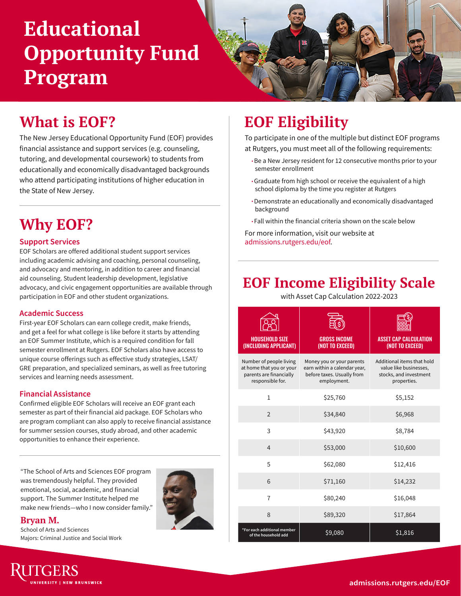# **Educational Opportunity Fund Program**



The New Jersey Educational Opportunity Fund (EOF) provides financial assistance and support services (e.g. counseling, tutoring, and developmental coursework) to students from educationally and economically disadvantaged backgrounds who attend participating institutions of higher education in the State of New Jersey.

### **Why EOF?**

### **Support Services**

EOF Scholars are offered additional student support services including academic advising and coaching, personal counseling, and advocacy and mentoring, in addition to career and financial aid counseling. Student leadership development, legislative advocacy, and civic engagement opportunities are available through participation in EOF and other student organizations.

#### **Academic Success**

First-year EOF Scholars can earn college credit, make friends, and get a feel for what college is like before it starts by attending an EOF Summer Institute, which is a required condition for fall semester enrollment at Rutgers. EOF Scholars also have access to unique course offerings such as effective study strategies, LSAT/ GRE preparation, and specialized seminars, as well as free tutoring services and learning needs assessment.

### **Financial Assistance**

Confirmed eligible EOF Scholars will receive an EOF grant each semester as part of their financial aid package. EOF Scholars who are program compliant can also apply to receive financial assistance for summer session courses, study abroad, and other academic opportunities to enhance their experience.

"The School of Arts and Sciences EOF program was tremendously helpful. They provided emotional, social, academic, and financial support. The Summer Institute helped me make new friends—who I now consider family."



### **Bryan M.**

School of Arts and Sciences Majors: Criminal Justice and Social Work

**NEW BRUNSWICK** 

## **What is EOF? EOF Eligibility**

To participate in one of the multiple but distinct EOF programs at Rutgers, you must meet all of the following requirements:

- Be a New Jersey resident for 12 consecutive months prior to your semester enrollment
- Graduate from high school or receive the equivalent of a high school diploma by the time you register at Rutgers
- Demonstrate an educationally and economically disadvantaged background
- Fall within the financial criteria shown on the scale below

For more information, visit our website at admissions.rutgers.edu/eof.

### **EOF Income Eligibility Scale**

with Asset Cap Calculation 2022-2023

| <b>HOUSEHOLD SIZE</b><br>(INCLUDING APPLICANT)                                                     | <b>GROSS INCOME</b><br>(NOT TO EXCEED)                                                                 | <b>ASSET CAP CALCULATION</b><br>(NOT TO EXCEED)                                               |
|----------------------------------------------------------------------------------------------------|--------------------------------------------------------------------------------------------------------|-----------------------------------------------------------------------------------------------|
| Number of people living<br>at home that you or your<br>parents are financially<br>responsible for. | Money you or your parents<br>earn within a calendar year,<br>before taxes. Usually from<br>employment. | Additional items that hold<br>value like businesses,<br>stocks, and investment<br>properties. |
| 1                                                                                                  | \$25,760                                                                                               | \$5,152                                                                                       |
| $\mathfrak{D}$                                                                                     | \$34,840                                                                                               | \$6,968                                                                                       |
| 3                                                                                                  | \$43,920                                                                                               | \$8,784                                                                                       |
| $\overline{4}$                                                                                     | \$53,000                                                                                               | \$10,600                                                                                      |
| 5                                                                                                  | \$62,080                                                                                               | \$12,416                                                                                      |
| 6                                                                                                  | \$71,160                                                                                               | \$14,232                                                                                      |
| $\overline{7}$                                                                                     | \$80,240                                                                                               | \$16,048                                                                                      |
| 8                                                                                                  | \$89,320                                                                                               | \$17,864                                                                                      |
| *For each additional member<br>of the household add                                                | \$9,080                                                                                                | \$1,816                                                                                       |